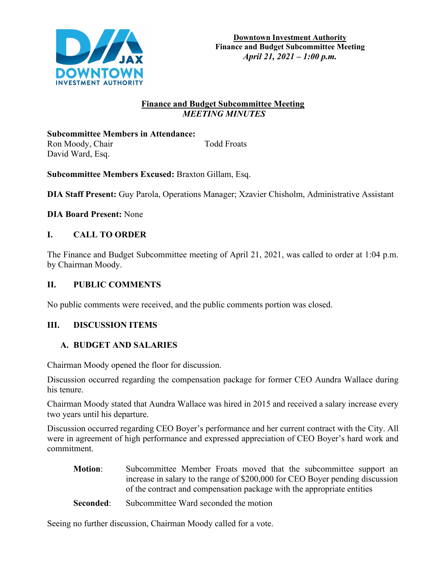

### **Finance and Budget Subcommittee Meeting**  *MEETING MINUTES*

**Subcommittee Members in Attendance:**  Ron Moody, Chair Todd Froats David Ward, Esq.

**Subcommittee Members Excused:** Braxton Gillam, Esq.

**DIA Staff Present:** Guy Parola, Operations Manager; Xzavier Chisholm, Administrative Assistant

**DIA Board Present:** None

# **I. CALL TO ORDER**

The Finance and Budget Subcommittee meeting of April 21, 2021, was called to order at 1:04 p.m. by Chairman Moody.

### **II. PUBLIC COMMENTS**

No public comments were received, and the public comments portion was closed.

### **III. DISCUSSION ITEMS**

### **A. BUDGET AND SALARIES**

Chairman Moody opened the floor for discussion.

Discussion occurred regarding the compensation package for former CEO Aundra Wallace during his tenure.

Chairman Moody stated that Aundra Wallace was hired in 2015 and received a salary increase every two years until his departure.

Discussion occurred regarding CEO Boyer's performance and her current contract with the City. All were in agreement of high performance and expressed appreciation of CEO Boyer's hard work and commitment.

- **Motion:** Subcommittee Member Froats moved that the subcommittee support an increase in salary to the range of \$200,000 for CEO Boyer pending discussion of the contract and compensation package with the appropriate entities
- **Seconded:** Subcommittee Ward seconded the motion

Seeing no further discussion, Chairman Moody called for a vote.